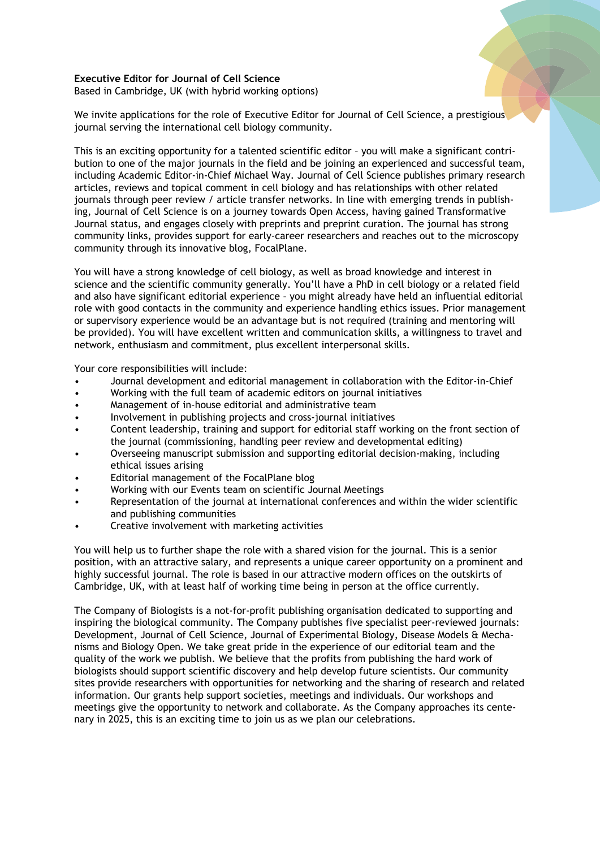## **Executive Editor for Journal of Cell Science**

Based in Cambridge, UK (with hybrid working options)

We invite applications for the role of Executive Editor for Journal of Cell Science, a prestigious journal serving the international cell biology community.

This is an exciting opportunity for a talented scientific editor – you will make a significant contribution to one of the major journals in the field and be joining an experienced and successful team, including Academic Editor-in-Chief Michael Way. Journal of Cell Science publishes primary research articles, reviews and topical comment in cell biology and has relationships with other related journals through peer review / article transfer networks. In line with emerging trends in publishing, Journal of Cell Science is on a journey towards Open Access, having gained Transformative Journal status, and engages closely with preprints and preprint curation. The journal has strong community links, provides support for early-career researchers and reaches out to the microscopy community through its innovative blog, FocalPlane.

You will have a strong knowledge of cell biology, as well as broad knowledge and interest in science and the scientific community generally. You'll have a PhD in cell biology or a related field and also have significant editorial experience – you might already have held an influential editorial role with good contacts in the community and experience handling ethics issues. Prior management or supervisory experience would be an advantage but is not required (training and mentoring will be provided). You will have excellent written and communication skills, a willingness to travel and network, enthusiasm and commitment, plus excellent interpersonal skills.

Your core responsibilities will include:

- Journal development and editorial management in collaboration with the Editor-in-Chief
- Working with the full team of academic editors on journal initiatives
- Management of in-house editorial and administrative team
- Involvement in publishing projects and cross-journal initiatives
- Content leadership, training and support for editorial staff working on the front section of the journal (commissioning, handling peer review and developmental editing)
- Overseeing manuscript submission and supporting editorial decision-making, including ethical issues arising
- Editorial management of the FocalPlane blog
- Working with our Events team on scientific Journal Meetings
- Representation of the journal at international conferences and within the wider scientific and publishing communities
- Creative involvement with marketing activities

You will help us to further shape the role with a shared vision for the journal. This is a senior position, with an attractive salary, and represents a unique career opportunity on a prominent and highly successful journal. The role is based in our attractive modern offices on the outskirts of Cambridge, UK, with at least half of working time being in person at the office currently.

The Company of Biologists is a not-for-profit publishing organisation dedicated to supporting and inspiring the biological community. The Company publishes five specialist peer-reviewed journals: Development, Journal of Cell Science, Journal of Experimental Biology, Disease Models & Mechanisms and Biology Open. We take great pride in the experience of our editorial team and the quality of the work we publish. We believe that the profits from publishing the hard work of biologists should support scientific discovery and help develop future scientists. Our community sites provide researchers with opportunities for networking and the sharing of research and related information. Our grants help support societies, meetings and individuals. Our workshops and meetings give the opportunity to network and collaborate. As the Company approaches its centenary in 2025, this is an exciting time to join us as we plan our celebrations.